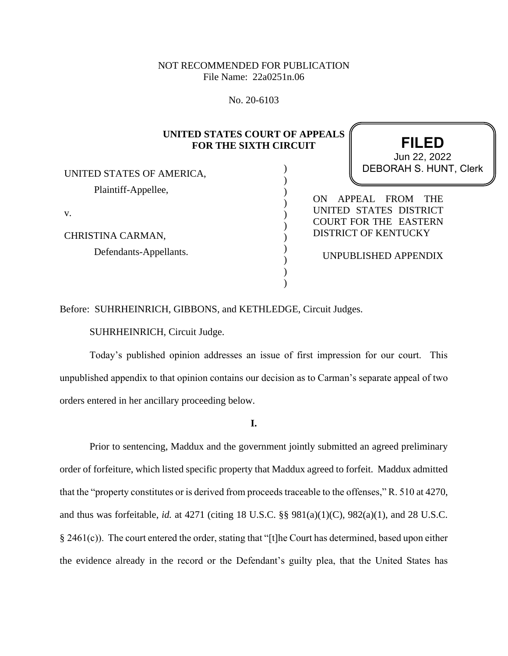## NOT RECOMMENDED FOR PUBLICATION File Name: 22a0251n.06

No. 20-6103

# **UNITED STATES COURT OF APPEALS FOR THE SIXTH CIRCUIT**

) ) ) ) ) ) ) ) ) ) )

UNITED STATES OF AMERICA, Plaintiff-Appellee,

v.

CHRISTINA CARMAN, Defendants-Appellants.

# **FILED** DEBORAH S. HUNT, Clerk Jun 22, 2022

ON APPEAL FROM THE UNITED STATES DISTRICT COURT FOR THE EASTERN DISTRICT OF KENTUCKY

UNPUBLISHED APPENDIX

Before: SUHRHEINRICH, GIBBONS, and KETHLEDGE, Circuit Judges.

SUHRHEINRICH, Circuit Judge.

Today's published opinion addresses an issue of first impression for our court. This unpublished appendix to that opinion contains our decision as to Carman's separate appeal of two orders entered in her ancillary proceeding below.

**I.**

Prior to sentencing, Maddux and the government jointly submitted an agreed preliminary order of forfeiture, which listed specific property that Maddux agreed to forfeit. Maddux admitted that the "property constitutes or is derived from proceeds traceable to the offenses," R. 510 at 4270, and thus was forfeitable, *id.* at 4271 (citing 18 U.S.C. §§ 981(a)(1)(C), 982(a)(1), and 28 U.S.C. § 2461(c)). The court entered the order, stating that "[t]he Court has determined, based upon either the evidence already in the record or the Defendant's guilty plea, that the United States has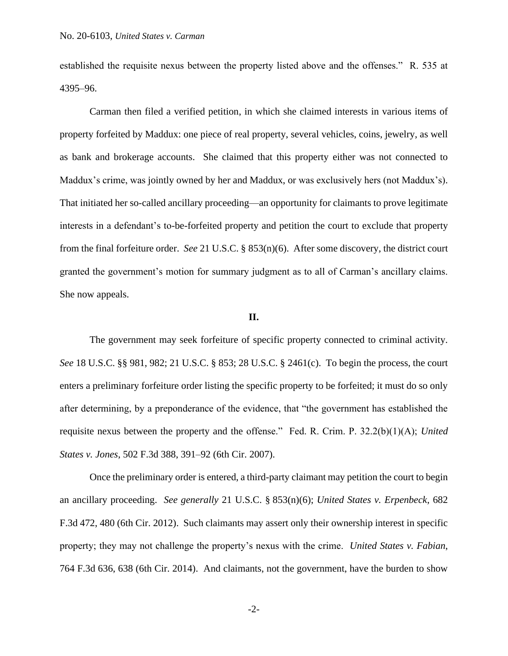established the requisite nexus between the property listed above and the offenses." R. 535 at 4395–96.

Carman then filed a verified petition, in which she claimed interests in various items of property forfeited by Maddux: one piece of real property, several vehicles, coins, jewelry, as well as bank and brokerage accounts. She claimed that this property either was not connected to Maddux's crime, was jointly owned by her and Maddux, or was exclusively hers (not Maddux's). That initiated her so-called ancillary proceeding—an opportunity for claimants to prove legitimate interests in a defendant's to-be-forfeited property and petition the court to exclude that property from the final forfeiture order. *See* 21 U.S.C. § 853(n)(6). After some discovery, the district court granted the government's motion for summary judgment as to all of Carman's ancillary claims. She now appeals.

## **II.**

The government may seek forfeiture of specific property connected to criminal activity. *See* 18 U.S.C. §§ 981, 982; 21 U.S.C. § 853; 28 U.S.C. § 2461(c). To begin the process, the court enters a preliminary forfeiture order listing the specific property to be forfeited; it must do so only after determining, by a preponderance of the evidence, that "the government has established the requisite nexus between the property and the offense." Fed. R. Crim. P. 32.2(b)(1)(A); *United States v. Jones*, 502 F.3d 388, 391–92 (6th Cir. 2007).

Once the preliminary order is entered, a third-party claimant may petition the court to begin an ancillary proceeding. *See generally* 21 U.S.C. § 853(n)(6); *United States v. Erpenbeck*, 682 F.3d 472, 480 (6th Cir. 2012). Such claimants may assert only their ownership interest in specific property; they may not challenge the property's nexus with the crime. *United States v. Fabian*, 764 F.3d 636, 638 (6th Cir. 2014). And claimants, not the government, have the burden to show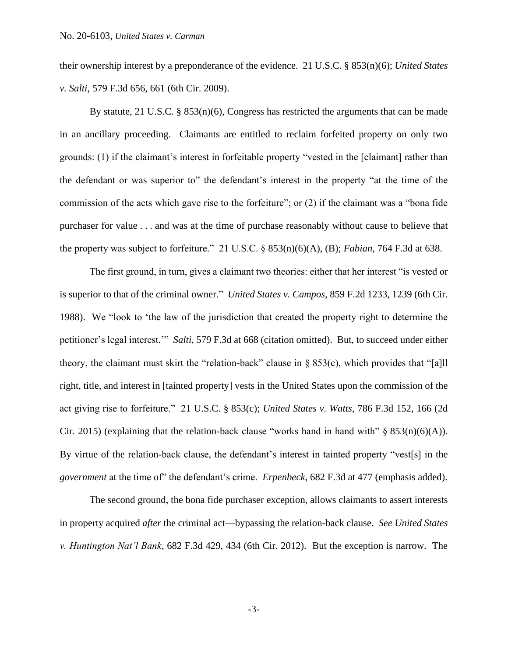their ownership interest by a preponderance of the evidence. 21 U.S.C. § 853(n)(6); *United States v. Salti*, 579 F.3d 656, 661 (6th Cir. 2009).

By statute, 21 U.S.C. § 853(n)(6), Congress has restricted the arguments that can be made in an ancillary proceeding. Claimants are entitled to reclaim forfeited property on only two grounds: (1) if the claimant's interest in forfeitable property "vested in the [claimant] rather than the defendant or was superior to" the defendant's interest in the property "at the time of the commission of the acts which gave rise to the forfeiture"; or (2) if the claimant was a "bona fide purchaser for value . . . and was at the time of purchase reasonably without cause to believe that the property was subject to forfeiture." 21 U.S.C. § 853(n)(6)(A), (B); *Fabian*, 764 F.3d at 638.

The first ground, in turn, gives a claimant two theories: either that her interest "is vested or is superior to that of the criminal owner." *United States v. Campos*, 859 F.2d 1233, 1239 (6th Cir. 1988). We "look to 'the law of the jurisdiction that created the property right to determine the petitioner's legal interest.'" *Salti*, 579 F.3d at 668 (citation omitted). But, to succeed under either theory, the claimant must skirt the "relation-back" clause in § 853(c), which provides that "[a]ll right, title, and interest in [tainted property] vests in the United States upon the commission of the act giving rise to forfeiture." 21 U.S.C. § 853(c); *United States v. Watts*, 786 F.3d 152, 166 (2d Cir. 2015) (explaining that the relation-back clause "works hand in hand with"  $\S$  853(n)(6)(A)). By virtue of the relation-back clause, the defendant's interest in tainted property "vest[s] in the *government* at the time of" the defendant's crime. *Erpenbeck*, 682 F.3d at 477 (emphasis added).

The second ground, the bona fide purchaser exception, allows claimants to assert interests in property acquired *after* the criminal act—bypassing the relation-back clause. *See United States v. Huntington Nat'l Bank*, 682 F.3d 429, 434 (6th Cir. 2012). But the exception is narrow. The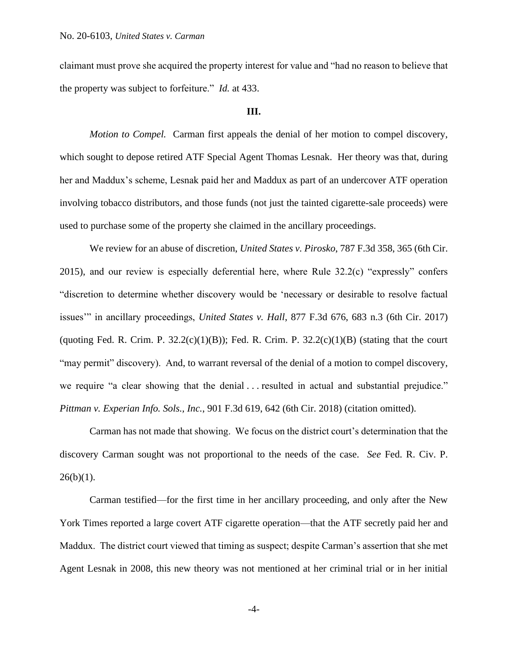claimant must prove she acquired the property interest for value and "had no reason to believe that the property was subject to forfeiture." *Id.* at 433.

### **III.**

*Motion to Compel.* Carman first appeals the denial of her motion to compel discovery, which sought to depose retired ATF Special Agent Thomas Lesnak. Her theory was that, during her and Maddux's scheme, Lesnak paid her and Maddux as part of an undercover ATF operation involving tobacco distributors, and those funds (not just the tainted cigarette-sale proceeds) were used to purchase some of the property she claimed in the ancillary proceedings.

We review for an abuse of discretion, *United States v. Pirosko*, 787 F.3d 358, 365 (6th Cir. 2015), and our review is especially deferential here, where Rule 32.2(c) "expressly" confers "discretion to determine whether discovery would be 'necessary or desirable to resolve factual issues'" in ancillary proceedings, *United States v. Hall*, 877 F.3d 676, 683 n.3 (6th Cir. 2017) (quoting Fed. R. Crim. P.  $32.2(c)(1)(B)$ ); Fed. R. Crim. P.  $32.2(c)(1)(B)$  (stating that the court "may permit" discovery). And, to warrant reversal of the denial of a motion to compel discovery, we require "a clear showing that the denial ... resulted in actual and substantial prejudice." *Pittman v. Experian Info. Sols., Inc.*, 901 F.3d 619, 642 (6th Cir. 2018) (citation omitted).

Carman has not made that showing. We focus on the district court's determination that the discovery Carman sought was not proportional to the needs of the case. *See* Fed. R. Civ. P.  $26(b)(1)$ .

Carman testified—for the first time in her ancillary proceeding, and only after the New York Times reported a large covert ATF cigarette operation—that the ATF secretly paid her and Maddux. The district court viewed that timing as suspect; despite Carman's assertion that she met Agent Lesnak in 2008, this new theory was not mentioned at her criminal trial or in her initial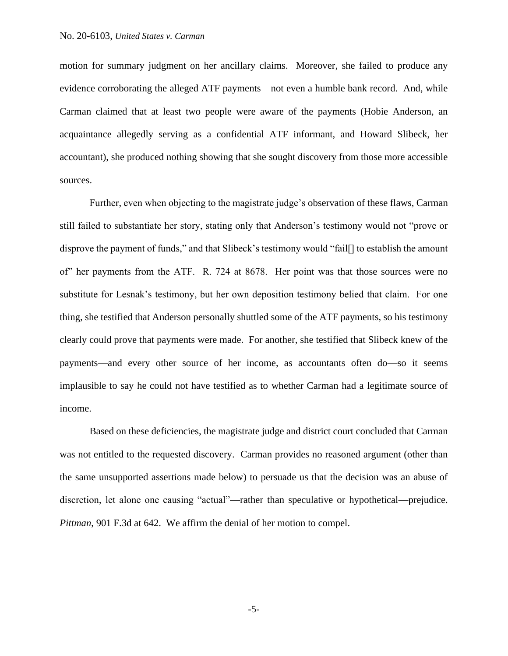motion for summary judgment on her ancillary claims. Moreover, she failed to produce any evidence corroborating the alleged ATF payments—not even a humble bank record. And, while Carman claimed that at least two people were aware of the payments (Hobie Anderson, an acquaintance allegedly serving as a confidential ATF informant, and Howard Slibeck, her accountant), she produced nothing showing that she sought discovery from those more accessible sources.

Further, even when objecting to the magistrate judge's observation of these flaws, Carman still failed to substantiate her story, stating only that Anderson's testimony would not "prove or disprove the payment of funds," and that Slibeck's testimony would "fail[] to establish the amount of" her payments from the ATF. R. 724 at 8678. Her point was that those sources were no substitute for Lesnak's testimony, but her own deposition testimony belied that claim. For one thing, she testified that Anderson personally shuttled some of the ATF payments, so his testimony clearly could prove that payments were made. For another, she testified that Slibeck knew of the payments—and every other source of her income, as accountants often do—so it seems implausible to say he could not have testified as to whether Carman had a legitimate source of income.

Based on these deficiencies, the magistrate judge and district court concluded that Carman was not entitled to the requested discovery. Carman provides no reasoned argument (other than the same unsupported assertions made below) to persuade us that the decision was an abuse of discretion, let alone one causing "actual"—rather than speculative or hypothetical—prejudice. *Pittman*, 901 F.3d at 642. We affirm the denial of her motion to compel.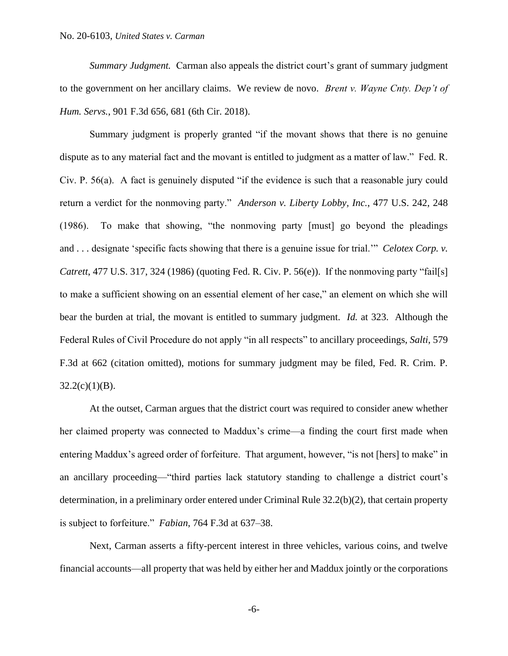*Summary Judgment.* Carman also appeals the district court's grant of summary judgment to the government on her ancillary claims. We review de novo. *Brent v. Wayne Cnty. Dep't of Hum. Servs.*, 901 F.3d 656, 681 (6th Cir. 2018).

Summary judgment is properly granted "if the movant shows that there is no genuine dispute as to any material fact and the movant is entitled to judgment as a matter of law." Fed. R. Civ. P. 56(a). A fact is genuinely disputed "if the evidence is such that a reasonable jury could return a verdict for the nonmoving party." *Anderson v. Liberty Lobby, Inc.*, 477 U.S. 242, 248 (1986). To make that showing, "the nonmoving party [must] go beyond the pleadings and . . . designate 'specific facts showing that there is a genuine issue for trial.'" *Celotex Corp. v. Catrett*, 477 U.S. 317, 324 (1986) (quoting Fed. R. Civ. P. 56(e)). If the nonmoving party "fail[s] to make a sufficient showing on an essential element of her case," an element on which she will bear the burden at trial, the movant is entitled to summary judgment. *Id.* at 323. Although the Federal Rules of Civil Procedure do not apply "in all respects" to ancillary proceedings, *Salti*, 579 F.3d at 662 (citation omitted), motions for summary judgment may be filed, Fed. R. Crim. P.  $32.2(c)(1)(B)$ .

At the outset, Carman argues that the district court was required to consider anew whether her claimed property was connected to Maddux's crime—a finding the court first made when entering Maddux's agreed order of forfeiture. That argument, however, "is not [hers] to make" in an ancillary proceeding—"third parties lack statutory standing to challenge a district court's determination, in a preliminary order entered under Criminal Rule 32.2(b)(2), that certain property is subject to forfeiture." *Fabian*, 764 F.3d at 637–38.

Next, Carman asserts a fifty-percent interest in three vehicles, various coins, and twelve financial accounts—all property that was held by either her and Maddux jointly or the corporations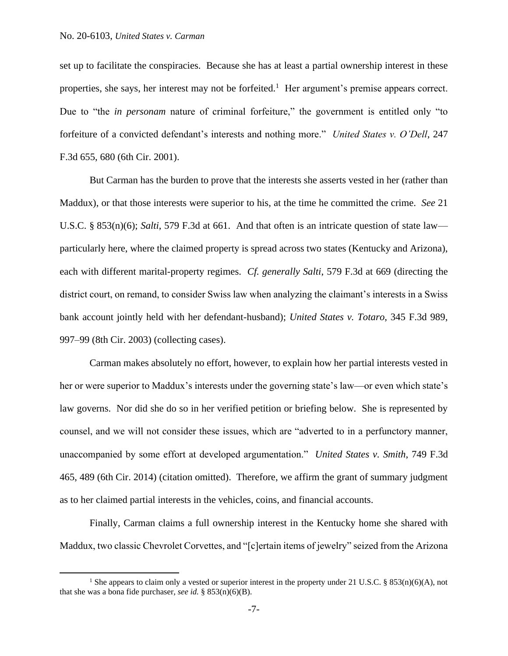set up to facilitate the conspiracies. Because she has at least a partial ownership interest in these properties, she says, her interest may not be forfeited.<sup>1</sup> Her argument's premise appears correct. Due to "the *in personam* nature of criminal forfeiture," the government is entitled only "to forfeiture of a convicted defendant's interests and nothing more." *United States v. O'Dell*, 247 F.3d 655, 680 (6th Cir. 2001).

But Carman has the burden to prove that the interests she asserts vested in her (rather than Maddux), or that those interests were superior to his, at the time he committed the crime. *See* 21 U.S.C. § 853(n)(6); *Salti*, 579 F.3d at 661. And that often is an intricate question of state law particularly here, where the claimed property is spread across two states (Kentucky and Arizona), each with different marital-property regimes. *Cf. generally Salti*, 579 F.3d at 669 (directing the district court, on remand, to consider Swiss law when analyzing the claimant's interests in a Swiss bank account jointly held with her defendant-husband); *United States v. Totaro*, 345 F.3d 989, 997–99 (8th Cir. 2003) (collecting cases).

Carman makes absolutely no effort, however, to explain how her partial interests vested in her or were superior to Maddux's interests under the governing state's law—or even which state's law governs. Nor did she do so in her verified petition or briefing below. She is represented by counsel, and we will not consider these issues, which are "adverted to in a perfunctory manner, unaccompanied by some effort at developed argumentation." *United States v. Smith*, 749 F.3d 465, 489 (6th Cir. 2014) (citation omitted). Therefore, we affirm the grant of summary judgment as to her claimed partial interests in the vehicles, coins, and financial accounts.

Finally, Carman claims a full ownership interest in the Kentucky home she shared with Maddux, two classic Chevrolet Corvettes, and "[c]ertain items of jewelry" seized from the Arizona

<sup>&</sup>lt;sup>1</sup> She appears to claim only a vested or superior interest in the property under 21 U.S.C. § 853(n)(6)(A), not that she was a bona fide purchaser, *see id.* §  $853(n)(6)(B)$ .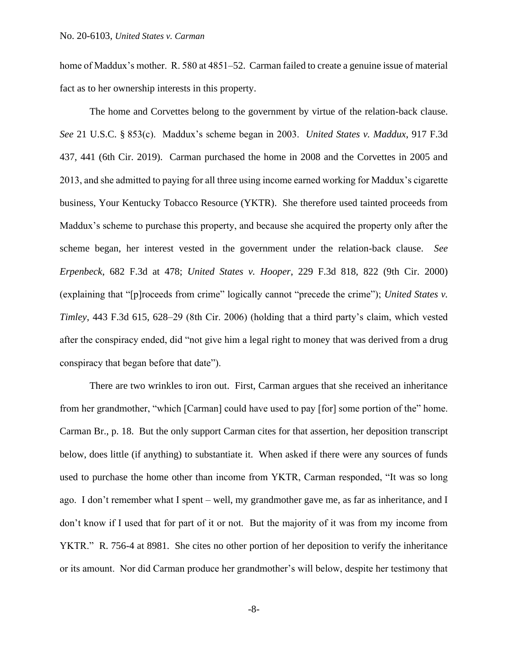home of Maddux's mother. R. 580 at 4851–52.Carman failed to create a genuine issue of material fact as to her ownership interests in this property.

The home and Corvettes belong to the government by virtue of the relation-back clause. *See* 21 U.S.C. § 853(c). Maddux's scheme began in 2003. *United States v. Maddux*, 917 F.3d 437, 441 (6th Cir. 2019). Carman purchased the home in 2008 and the Corvettes in 2005 and 2013, and she admitted to paying for all three using income earned working for Maddux's cigarette business, Your Kentucky Tobacco Resource (YKTR). She therefore used tainted proceeds from Maddux's scheme to purchase this property, and because she acquired the property only after the scheme began, her interest vested in the government under the relation-back clause. *See Erpenbeck*, 682 F.3d at 478; *United States v. Hooper*, 229 F.3d 818, 822 (9th Cir. 2000) (explaining that "[p]roceeds from crime" logically cannot "precede the crime"); *United States v. Timley*, 443 F.3d 615, 628–29 (8th Cir. 2006) (holding that a third party's claim, which vested after the conspiracy ended, did "not give him a legal right to money that was derived from a drug conspiracy that began before that date").

There are two wrinkles to iron out. First, Carman argues that she received an inheritance from her grandmother, "which [Carman] could have used to pay [for] some portion of the" home. Carman Br., p. 18. But the only support Carman cites for that assertion, her deposition transcript below, does little (if anything) to substantiate it. When asked if there were any sources of funds used to purchase the home other than income from YKTR, Carman responded, "It was so long ago. I don't remember what I spent – well, my grandmother gave me, as far as inheritance, and I don't know if I used that for part of it or not. But the majority of it was from my income from YKTR." R. 756-4 at 8981. She cites no other portion of her deposition to verify the inheritance or its amount. Nor did Carman produce her grandmother's will below, despite her testimony that